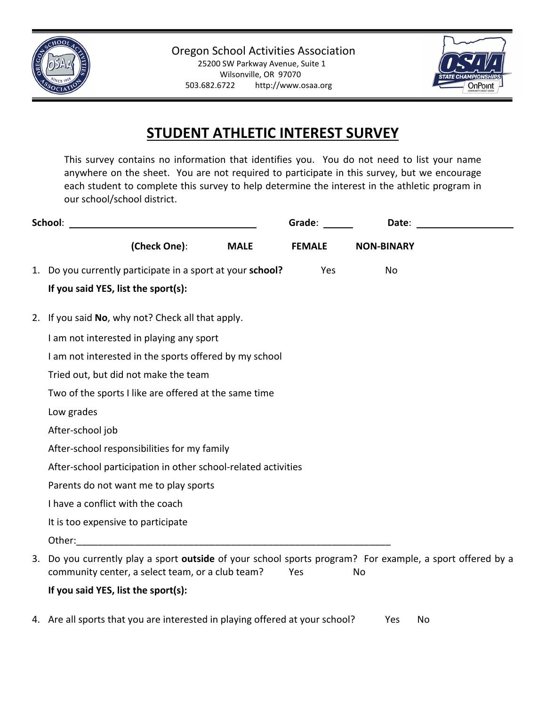



## **STUDENT ATHLETIC INTEREST SURVEY**

This survey contains no information that identifies you. You do not need to list your name anywhere on the sheet. You are not required to participate in this survey, but we encourage each student to complete this survey to help determine the interest in the athletic program in our school/school district.

| School:                                                                                                   | Grade:        | Date:             |  |  |
|-----------------------------------------------------------------------------------------------------------|---------------|-------------------|--|--|
| (Check One):<br><b>MALE</b>                                                                               | <b>FEMALE</b> | <b>NON-BINARY</b> |  |  |
| 1. Do you currently participate in a sport at your school?                                                | Yes           | No                |  |  |
| If you said YES, list the sport(s):                                                                       |               |                   |  |  |
| 2. If you said No, why not? Check all that apply.                                                         |               |                   |  |  |
| I am not interested in playing any sport                                                                  |               |                   |  |  |
| I am not interested in the sports offered by my school                                                    |               |                   |  |  |
| Tried out, but did not make the team                                                                      |               |                   |  |  |
| Two of the sports I like are offered at the same time                                                     |               |                   |  |  |
| Low grades                                                                                                |               |                   |  |  |
| After-school job                                                                                          |               |                   |  |  |
| After-school responsibilities for my family                                                               |               |                   |  |  |
| After-school participation in other school-related activities                                             |               |                   |  |  |
| Parents do not want me to play sports                                                                     |               |                   |  |  |
| I have a conflict with the coach                                                                          |               |                   |  |  |
| It is too expensive to participate                                                                        |               |                   |  |  |
| Other:                                                                                                    |               |                   |  |  |
| 3. Do you currently play a sport outside of your school sports program? For example, a sport offered by a |               |                   |  |  |

community center, a select team, or a club team? Yes Mo

## **If you said YES, list the sport(s):**

4. Are all sports that you are interested in playing offered at your school? Yes No